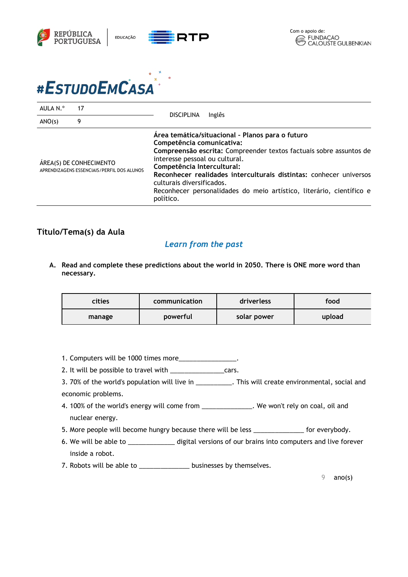



| AULA N.º<br>17                                                        | Inglês<br><b>DISCIPLINA</b>                                                                                                                                                                                                                                                                                                                                                                                 |
|-----------------------------------------------------------------------|-------------------------------------------------------------------------------------------------------------------------------------------------------------------------------------------------------------------------------------------------------------------------------------------------------------------------------------------------------------------------------------------------------------|
| ANO(s)<br>9                                                           |                                                                                                                                                                                                                                                                                                                                                                                                             |
| ÁREA(S) DE CONHECIMENTO<br>APRENDIZAGENS ESSENCIAIS/PERFIL DOS ALUNOS | Área temática/situacional - Planos para o futuro<br>Competência comunicativa:<br>Compreensão escrita: Compreender textos factuais sobre assuntos de<br>interesse pessoal ou cultural.<br>Competência Intercultural:<br>Reconhecer realidades interculturais distintas: conhecer universos<br>culturais diversificados.<br>Reconhecer personalidades do meio artístico, literário, científico e<br>político. |

## **Título/Tema(s) da Aula**

## *Learn from the past*

**A. Read and complete these predictions about the world in 2050. There is ONE more word than necessary.**

| <b>cities</b> | communication | driverless  | food   |
|---------------|---------------|-------------|--------|
| manage        | powerful      | solar power | upload |

- 1. Computers will be 1000 times more\_\_\_\_\_\_\_\_\_\_\_\_\_\_\_\_.
- 2. It will be possible to travel with \_\_\_\_\_\_\_\_\_\_\_\_\_\_\_\_\_\_\_cars.
- 3. 70% of the world's population will live in \_\_\_\_\_\_\_\_\_\_. This will create environmental, social and economic problems.
- 4. 100% of the world's energy will come from \_\_\_\_\_\_\_\_\_\_\_\_\_\_. We won't rely on coal, oil and nuclear energy.
- 5. More people will become hungry because there will be less \_\_\_\_\_\_\_\_\_\_\_\_\_\_ for everybody.
- 6. We will be able to \_\_\_\_\_\_\_\_\_\_\_\_\_ digital versions of our brains into computers and live forever inside a robot.
- 7. Robots will be able to \_\_\_\_\_\_\_\_\_\_\_\_\_\_\_\_\_ businesses by themselves.

 $9$  ano(s)